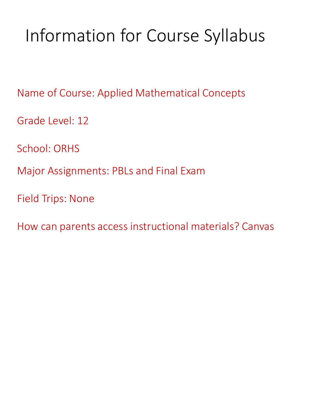# Information for Course Syllabus

Name of Course: Applied Mathematical Concepts

Grade Level: 12

School: ORHS

Major Assignments: PBLs and Final Exam

Field Trips: None

How can parents access instructional materials? Canvas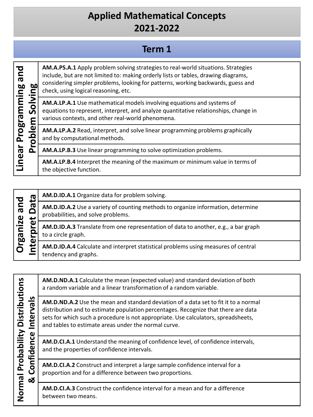### **Term 1**

| pue<br>60                                    | AM.A.<br>includ<br>consid<br>check, |
|----------------------------------------------|-------------------------------------|
| mming<br>$\bar{\mathbf{o}}$<br><u>ო</u><br>٤ | AM.A.<br>equati<br>variou           |
| Progran<br>$\bf\bar\omega$                   | AM.A.<br>and by                     |
| Pror<br>lear                                 | AM.A.                               |
| ć                                            | AM.A.<br>the oh                     |

**PS.A.1** Apply problem solving strategies to real-world situations. Strategies e, but are not limited to: making orderly lists or tables, drawing diagrams, lering simpler problems, looking for patterns, working backwards, guess and using logical reasoning, etc.

**LP.A.1** Use mathematical models involving equations and systems of ions to represent, interpret, and analyze quantitative relationships, change in is contexts, and other real-world phenomena.

**LP.A.2** Read, interpret, and solve linear programming problems graphically y computational methods.

**LP.B.3** Use linear programming to solve optimization problems.

**LP.B.4** Interpret the meaning of the maximum or minimum value in terms of the objective function.

|  | ത<br>pue<br>σ<br>rganize<br>$\omega$<br>n<br>$\mathbf{v}$ | AM.D.ID.A.1 Organize data for problem solving.                                                                         |
|--|-----------------------------------------------------------|------------------------------------------------------------------------------------------------------------------------|
|  |                                                           | AM.D.ID.A.2 Use a variety of counting methods to organize information, determine<br>probabilities, and solve problems. |
|  |                                                           | AM.D.ID.A.3 Translate from one representation of data to another, e.g., a bar graph<br>to a circle graph.              |
|  | n                                                         | ட                                                                                                                      |

**Normal Probability Distributions**  Normal Probability Distributions & Confidence Intervals **& Confidence Intervals**

**AM.D.ND.A.1** Calculate the mean (expected value) and standard deviation of both a random variable and a linear transformation of a random variable.

**AM.D.ND.A.2** Use the mean and standard deviation of a data set to fit it to a normal distribution and to estimate population percentages. Recognize that there are data sets for which such a procedure is not appropriate. Use calculators, spreadsheets, and tables to estimate areas under the normal curve.

**AM.D.CI.A.1** Understand the meaning of confidence level, of confidence intervals, and the properties of confidence intervals.

**AM.D.CI.A.2** Construct and interpret a large sample confidence interval for a proportion and for a difference between two proportions.

**AM.D.CI.A.3** Construct the confidence interval for a mean and for a difference between two means.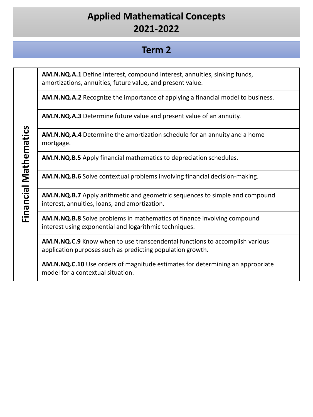#### **Term 2**

**AM.N.NQ.A.1** Define interest, compound interest, annuities, sinking funds, amortizations, annuities, future value, and present value.

**AM.N.NQ.A.2** Recognize the importance of applying a financial model to business.

**AM.N.NQ.A.3** Determine future value and present value of an annuity.

**AM.N.NQ.A.4** Determine the amortization schedule for an annuity and a home mortgage.

**AM.N.NQ.B.5** Apply financial mathematics to depreciation schedules.

**AM.N.NQ.B.6** Solve contextual problems involving financial decision-making.

**AM.N.NQ.B.7** Apply arithmetic and geometric sequences to simple and compound interest, annuities, loans, and amortization.

**AM.N.NQ.B.8** Solve problems in mathematics of finance involving compound interest using exponential and logarithmic techniques.

**AM.N.NQ.C.9** Know when to use transcendental functions to accomplish various application purposes such as predicting population growth.

**AM.N.NQ.C.10** Use orders of magnitude estimates for determining an appropriate model for a contextual situation.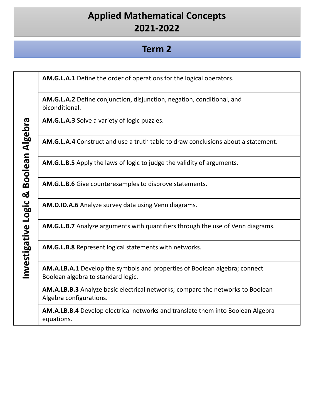#### **Term 2**

**AM.G.L.A.1** Define the order of operations for the logical operators. **AM.G.L.A.2** Define conjunction, disjunction, negation, conditional, and biconditional. **AM.G.L.A.3** Solve a variety of logic puzzles. Investigative Logic & Boolean Algebra **Investigative Logic & Boolean Algebra AM.G.L.A.4** Construct and use a truth table to draw conclusions about a statement. **AM.G.L.B.5** Apply the laws of logic to judge the validity of arguments. **AM.G.L.B.6** Give counterexamples to disprove statements. **AM.D.ID.A.6** Analyze survey data using Venn diagrams. **AM.G.L.B.7** Analyze arguments with quantifiers through the use of Venn diagrams. **AM.G.L.B.8** Represent logical statements with networks. **AM.A.LB.A.1** Develop the symbols and properties of Boolean algebra; connect Boolean algebra to standard logic. **AM.A.LB.B.3** Analyze basic electrical networks; compare the networks to Boolean Algebra configurations. **AM.A.LB.B.4** Develop electrical networks and translate them into Boolean Algebra equations.